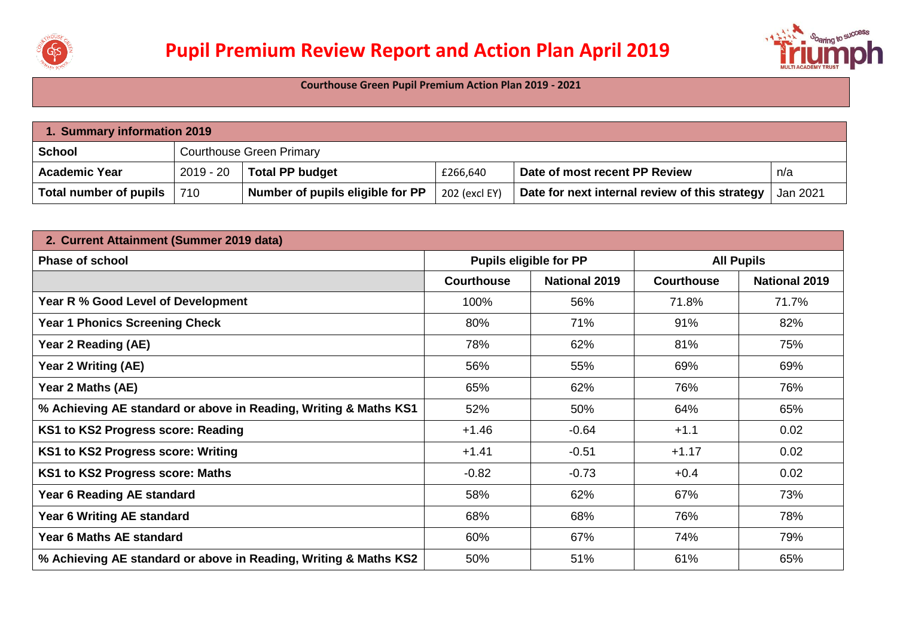



**Courthouse Green Pupil Premium Action Plan 2019 - 2021**

| 1. Summary information 2019 |             |                                  |               |                                                |          |  |  |
|-----------------------------|-------------|----------------------------------|---------------|------------------------------------------------|----------|--|--|
| <b>School</b>               |             | <b>Courthouse Green Primary</b>  |               |                                                |          |  |  |
| <b>Academic Year</b>        | $2019 - 20$ | <b>Total PP budget</b>           | £266,640      | Date of most recent PP Review                  | n/a      |  |  |
| Total number of pupils      | 710         | Number of pupils eligible for PP | 202 (excl EY) | Date for next internal review of this strategy | Jan 2021 |  |  |

| 2. Current Attainment (Summer 2019 data)                         |                   |                               |                   |                      |  |
|------------------------------------------------------------------|-------------------|-------------------------------|-------------------|----------------------|--|
| <b>Phase of school</b>                                           |                   | <b>Pupils eligible for PP</b> |                   | <b>All Pupils</b>    |  |
|                                                                  | <b>Courthouse</b> | <b>National 2019</b>          | <b>Courthouse</b> | <b>National 2019</b> |  |
| Year R % Good Level of Development                               | 100%              | 56%                           | 71.8%             | 71.7%                |  |
| <b>Year 1 Phonics Screening Check</b>                            | 80%               | 71%                           | 91%               | 82%                  |  |
| Year 2 Reading (AE)                                              | 78%               | 62%                           | 81%               | 75%                  |  |
| Year 2 Writing (AE)                                              | 56%               | 55%                           | 69%               | 69%                  |  |
| Year 2 Maths (AE)                                                | 65%               | 62%                           | 76%               | 76%                  |  |
| % Achieving AE standard or above in Reading, Writing & Maths KS1 | 52%               | 50%                           | 64%               | 65%                  |  |
| KS1 to KS2 Progress score: Reading                               | $+1.46$           | $-0.64$                       | $+1.1$            | 0.02                 |  |
| KS1 to KS2 Progress score: Writing                               | $+1.41$           | $-0.51$                       | $+1.17$           | 0.02                 |  |
| KS1 to KS2 Progress score: Maths                                 | $-0.82$           | $-0.73$                       | $+0.4$            | 0.02                 |  |
| Year 6 Reading AE standard                                       | 58%               | 62%                           | 67%               | 73%                  |  |
| Year 6 Writing AE standard                                       | 68%               | 68%                           | 76%               | 78%                  |  |
| Year 6 Maths AE standard                                         | 60%               | 67%                           | 74%               | 79%                  |  |
| % Achieving AE standard or above in Reading, Writing & Maths KS2 | 50%               | 51%                           | 61%               | 65%                  |  |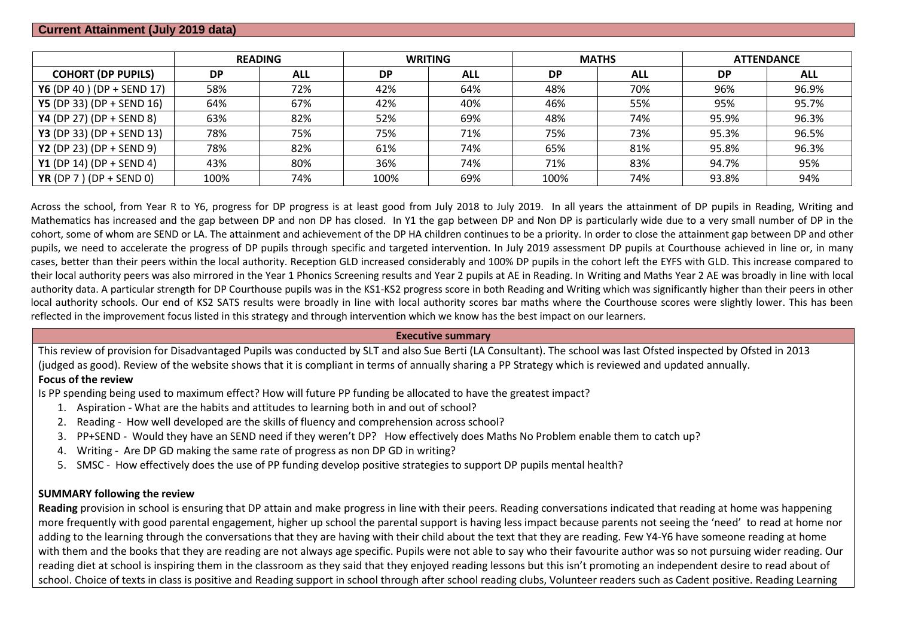### **Current Attainment (July 2019 data)**

|                                  |           | <b>READING</b> | <b>WRITING</b> |            | <b>MATHS</b> |            | <b>ATTENDANCE</b> |            |
|----------------------------------|-----------|----------------|----------------|------------|--------------|------------|-------------------|------------|
| <b>COHORT (DP PUPILS)</b>        | <b>DP</b> | <b>ALL</b>     | <b>DP</b>      | <b>ALL</b> | <b>DP</b>    | <b>ALL</b> | <b>DP</b>         | <b>ALL</b> |
| Y6 (DP 40) (DP + SEND 17)        | 58%       | 72%            | 42%            | 64%        | 48%          | 70%        | 96%               | 96.9%      |
| <b>Y5</b> (DP 33) (DP + SEND 16) | 64%       | 67%            | 42%            | 40%        | 46%          | 55%        | 95%               | 95.7%      |
| <b>Y4</b> (DP 27) (DP + SEND 8)  | 63%       | 82%            | 52%            | 69%        | 48%          | 74%        | 95.9%             | 96.3%      |
| <b>Y3</b> (DP 33) (DP + SEND 13) | 78%       | 75%            | 75%            | 71%        | 75%          | 73%        | 95.3%             | 96.5%      |
| <b>Y2</b> (DP 23) (DP + SEND 9)  | 78%       | 82%            | 61%            | 74%        | 65%          | 81%        | 95.8%             | 96.3%      |
| <b>Y1</b> (DP 14) (DP + SEND 4)  | 43%       | 80%            | 36%            | 74%        | 71%          | 83%        | 94.7%             | 95%        |
| YR (DP 7 ) (DP + SEND 0)         | 100%      | 74%            | 100%           | 69%        | 100%         | 74%        | 93.8%             | 94%        |

Across the school, from Year R to Y6, progress for DP progress is at least good from July 2018 to July 2019. In all years the attainment of DP pupils in Reading, Writing and Mathematics has increased and the gap between DP and non DP has closed. In Y1 the gap between DP and Non DP is particularly wide due to a very small number of DP in the cohort, some of whom are SEND or LA. The attainment and achievement of the DP HA children continues to be a priority. In order to close the attainment gap between DP and other pupils, we need to accelerate the progress of DP pupils through specific and targeted intervention. In July 2019 assessment DP pupils at Courthouse achieved in line or, in many cases, better than their peers within the local authority. Reception GLD increased considerably and 100% DP pupils in the cohort left the EYFS with GLD. This increase compared to their local authority peers was also mirrored in the Year 1 Phonics Screening results and Year 2 pupils at AE in Reading. In Writing and Maths Year 2 AE was broadly in line with local authority data. A particular strength for DP Courthouse pupils was in the KS1-KS2 progress score in both Reading and Writing which was significantly higher than their peers in other local authority schools. Our end of KS2 SATS results were broadly in line with local authority scores bar maths where the Courthouse scores were slightly lower. This has been reflected in the improvement focus listed in this strategy and through intervention which we know has the best impact on our learners.

#### **Executive summary**

This review of provision for Disadvantaged Pupils was conducted by SLT and also Sue Berti (LA Consultant). The school was last Ofsted inspected by Ofsted in 2013 (judged as good). Review of the website shows that it is compliant in terms of annually sharing a PP Strategy which is reviewed and updated annually.

## **Focus of the review**

Is PP spending being used to maximum effect? How will future PP funding be allocated to have the greatest impact?

- 1. Aspiration What are the habits and attitudes to learning both in and out of school?
- 2. Reading How well developed are the skills of fluency and comprehension across school?
- 3. PP+SEND Would they have an SEND need if they weren't DP? How effectively does Maths No Problem enable them to catch up?
- 4. Writing Are DP GD making the same rate of progress as non DP GD in writing?
- 5. SMSC How effectively does the use of PP funding develop positive strategies to support DP pupils mental health?

### **SUMMARY following the review**

**Reading** provision in school is ensuring that DP attain and make progress in line with their peers. Reading conversations indicated that reading at home was happening more frequently with good parental engagement, higher up school the parental support is having less impact because parents not seeing the 'need' to read at home nor adding to the learning through the conversations that they are having with their child about the text that they are reading. Few Y4-Y6 have someone reading at home with them and the books that they are reading are not always age specific. Pupils were not able to say who their favourite author was so not pursuing wider reading. Our reading diet at school is inspiring them in the classroom as they said that they enjoyed reading lessons but this isn't promoting an independent desire to read about of school. Choice of texts in class is positive and Reading support in school through after school reading clubs, Volunteer readers such as Cadent positive. Reading Learning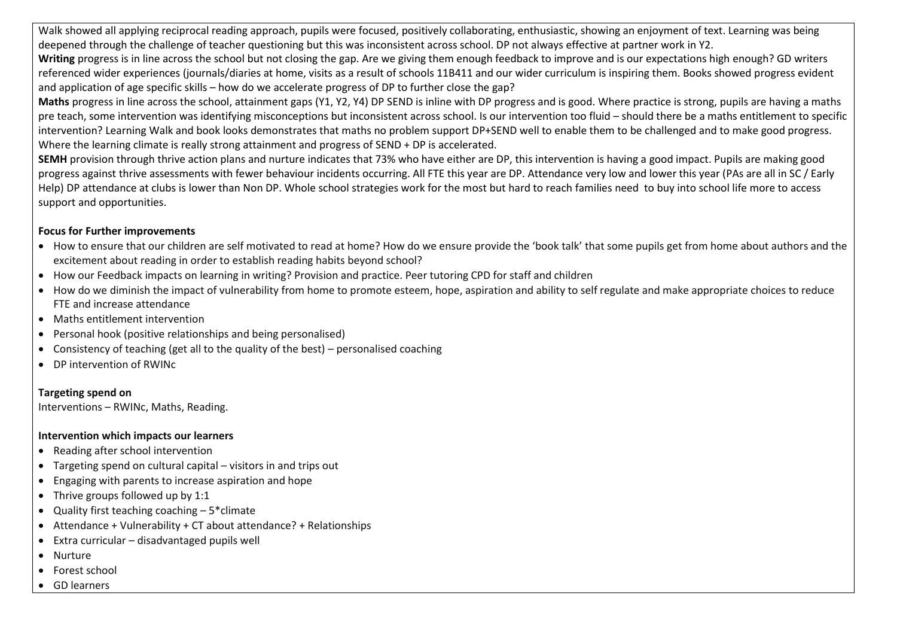Walk showed all applying reciprocal reading approach, pupils were focused, positively collaborating, enthusiastic, showing an enjoyment of text. Learning was being deepened through the challenge of teacher questioning but this was inconsistent across school. DP not always effective at partner work in Y2.

**Writing** progress is in line across the school but not closing the gap. Are we giving them enough feedback to improve and is our expectations high enough? GD writers referenced wider experiences (journals/diaries at home, visits as a result of schools 11B411 and our wider curriculum is inspiring them. Books showed progress evident and application of age specific skills – how do we accelerate progress of DP to further close the gap?

**Maths** progress in line across the school, attainment gaps (Y1, Y2, Y4) DP SEND is inline with DP progress and is good. Where practice is strong, pupils are having a maths pre teach, some intervention was identifying misconceptions but inconsistent across school. Is our intervention too fluid – should there be a maths entitlement to specific intervention? Learning Walk and book looks demonstrates that maths no problem support DP+SEND well to enable them to be challenged and to make good progress. Where the learning climate is really strong attainment and progress of SEND + DP is accelerated.

**SEMH** provision through thrive action plans and nurture indicates that 73% who have either are DP, this intervention is having a good impact. Pupils are making good progress against thrive assessments with fewer behaviour incidents occurring. All FTE this year are DP. Attendance very low and lower this year (PAs are all in SC / Early Help) DP attendance at clubs is lower than Non DP. Whole school strategies work for the most but hard to reach families need to buy into school life more to access support and opportunities.

# **Focus for Further improvements**

- How to ensure that our children are self motivated to read at home? How do we ensure provide the 'book talk' that some pupils get from home about authors and the excitement about reading in order to establish reading habits beyond school?
- How our Feedback impacts on learning in writing? Provision and practice. Peer tutoring CPD for staff and children
- How do we diminish the impact of vulnerability from home to promote esteem, hope, aspiration and ability to self regulate and make appropriate choices to reduce FTE and increase attendance
- Maths entitlement intervention
- Personal hook (positive relationships and being personalised)
- Consistency of teaching (get all to the quality of the best) personalised coaching
- DP intervention of RWINc

# **Targeting spend on**

Interventions – RWINc, Maths, Reading.

### **Intervention which impacts our learners**

- Reading after school intervention
- Targeting spend on cultural capital visitors in and trips out
- Engaging with parents to increase aspiration and hope
- Thrive groups followed up by 1:1
- $\bullet$  Quality first teaching coaching  $-5$ \*climate
- Attendance + Vulnerability + CT about attendance? + Relationships
- Extra curricular disadvantaged pupils well
- Nurture
- Forest school
- GD learners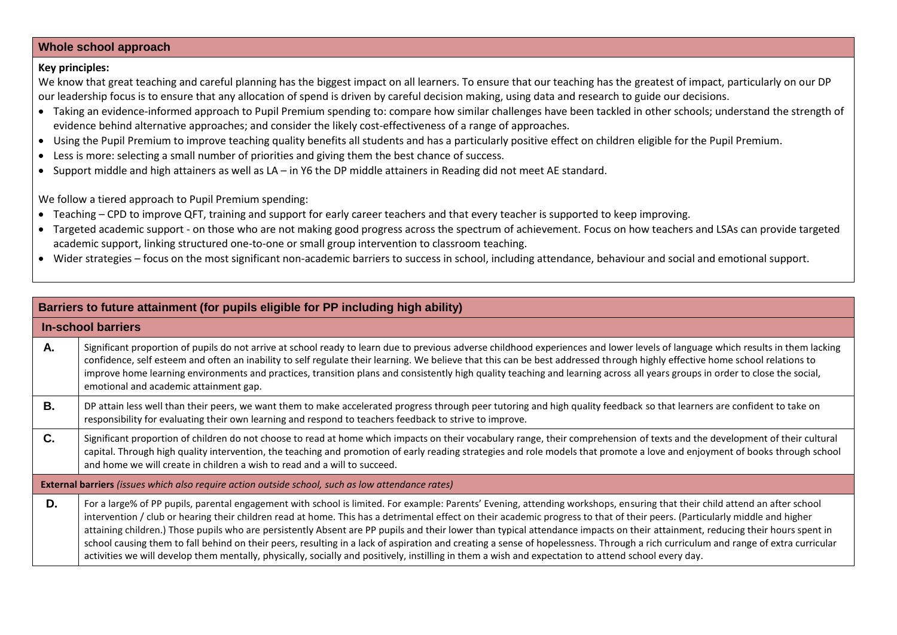### **Whole school approach**

#### **Key principles:**

We know that great teaching and careful planning has the biggest impact on all learners. To ensure that our teaching has the greatest of impact, particularly on our DP our leadership focus is to ensure that any allocation of spend is driven by careful decision making, using data and research to guide our decisions.

- Taking an evidence-informed approach to Pupil Premium spending to: compare how similar challenges have been tackled in other schools; understand the strength of evidence behind alternative approaches; and consider the likely cost-effectiveness of a range of approaches.
- Using the Pupil Premium to improve teaching quality benefits all students and has a particularly positive effect on children eligible for the Pupil Premium.
- Less is more: selecting a small number of priorities and giving them the best chance of success.
- Support middle and high attainers as well as LA in Y6 the DP middle attainers in Reading did not meet AE standard.

We follow a tiered approach to Pupil Premium spending:

- Teaching CPD to improve QFT, training and support for early career teachers and that every teacher is supported to keep improving.
- Targeted academic support on those who are not making good progress across the spectrum of achievement. Focus on how teachers and LSAs can provide targeted academic support, linking structured one-to-one or small group intervention to classroom teaching.
- Wider strategies focus on the most significant non-academic barriers to success in school, including attendance, behaviour and social and emotional support.

| Barriers to future attainment (for pupils eligible for PP including high ability) |                                                                                                                                                                                                                                                                                                                                                                                                                                                                                                                                                                                                                                                                                                                                                                                                                                                                                             |  |  |  |  |  |
|-----------------------------------------------------------------------------------|---------------------------------------------------------------------------------------------------------------------------------------------------------------------------------------------------------------------------------------------------------------------------------------------------------------------------------------------------------------------------------------------------------------------------------------------------------------------------------------------------------------------------------------------------------------------------------------------------------------------------------------------------------------------------------------------------------------------------------------------------------------------------------------------------------------------------------------------------------------------------------------------|--|--|--|--|--|
|                                                                                   | In-school barriers                                                                                                                                                                                                                                                                                                                                                                                                                                                                                                                                                                                                                                                                                                                                                                                                                                                                          |  |  |  |  |  |
| Α.                                                                                | Significant proportion of pupils do not arrive at school ready to learn due to previous adverse childhood experiences and lower levels of language which results in them lacking<br>confidence, self esteem and often an inability to self regulate their learning. We believe that this can be best addressed through highly effective home school relations to<br>improve home learning environments and practices, transition plans and consistently high quality teaching and learning across all years groups in order to close the social,<br>emotional and academic attainment gap.                                                                                                                                                                                                                                                                                                  |  |  |  |  |  |
| <b>B.</b>                                                                         | DP attain less well than their peers, we want them to make accelerated progress through peer tutoring and high quality feedback so that learners are confident to take on<br>responsibility for evaluating their own learning and respond to teachers feedback to strive to improve.                                                                                                                                                                                                                                                                                                                                                                                                                                                                                                                                                                                                        |  |  |  |  |  |
| C.                                                                                | Significant proportion of children do not choose to read at home which impacts on their vocabulary range, their comprehension of texts and the development of their cultural<br>capital. Through high quality intervention, the teaching and promotion of early reading strategies and role models that promote a love and enjoyment of books through school<br>and home we will create in children a wish to read and a will to succeed.                                                                                                                                                                                                                                                                                                                                                                                                                                                   |  |  |  |  |  |
|                                                                                   | External barriers (issues which also require action outside school, such as low attendance rates)                                                                                                                                                                                                                                                                                                                                                                                                                                                                                                                                                                                                                                                                                                                                                                                           |  |  |  |  |  |
| D.                                                                                | For a large% of PP pupils, parental engagement with school is limited. For example: Parents' Evening, attending workshops, ensuring that their child attend an after school<br>intervention / club or hearing their children read at home. This has a detrimental effect on their academic progress to that of their peers. (Particularly middle and higher<br>attaining children.) Those pupils who are persistently Absent are PP pupils and their lower than typical attendance impacts on their attainment, reducing their hours spent in<br>school causing them to fall behind on their peers, resulting in a lack of aspiration and creating a sense of hopelessness. Through a rich curriculum and range of extra curricular<br>activities we will develop them mentally, physically, socially and positively, instilling in them a wish and expectation to attend school every day. |  |  |  |  |  |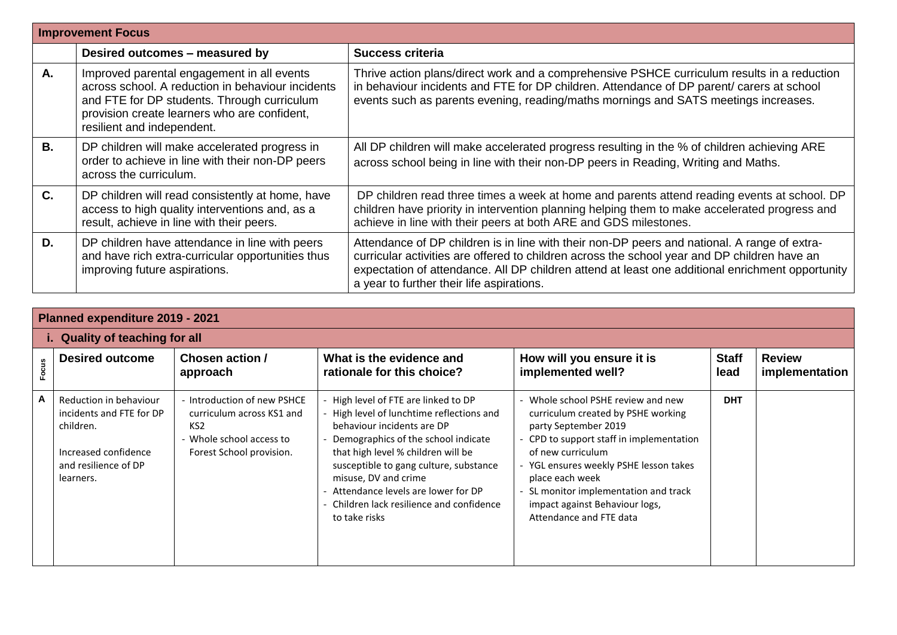|           | <b>Improvement Focus</b>                                                                                                                                                                                                     |                                                                                                                                                                                                                                                                                                                                               |  |  |  |  |  |
|-----------|------------------------------------------------------------------------------------------------------------------------------------------------------------------------------------------------------------------------------|-----------------------------------------------------------------------------------------------------------------------------------------------------------------------------------------------------------------------------------------------------------------------------------------------------------------------------------------------|--|--|--|--|--|
|           | Desired outcomes - measured by                                                                                                                                                                                               | <b>Success criteria</b>                                                                                                                                                                                                                                                                                                                       |  |  |  |  |  |
| А.        | Improved parental engagement in all events<br>across school. A reduction in behaviour incidents<br>and FTE for DP students. Through curriculum<br>provision create learners who are confident,<br>resilient and independent. | Thrive action plans/direct work and a comprehensive PSHCE curriculum results in a reduction<br>in behaviour incidents and FTE for DP children. Attendance of DP parent/ carers at school<br>events such as parents evening, reading/maths mornings and SATS meetings increases.                                                               |  |  |  |  |  |
| <b>B.</b> | DP children will make accelerated progress in<br>order to achieve in line with their non-DP peers<br>across the curriculum.                                                                                                  | All DP children will make accelerated progress resulting in the % of children achieving ARE<br>across school being in line with their non-DP peers in Reading, Writing and Maths.                                                                                                                                                             |  |  |  |  |  |
| C.        | DP children will read consistently at home, have<br>access to high quality interventions and, as a<br>result, achieve in line with their peers.                                                                              | DP children read three times a week at home and parents attend reading events at school. DP<br>children have priority in intervention planning helping them to make accelerated progress and<br>achieve in line with their peers at both ARE and GDS milestones.                                                                              |  |  |  |  |  |
| D.        | DP children have attendance in line with peers<br>and have rich extra-curricular opportunities thus<br>improving future aspirations.                                                                                         | Attendance of DP children is in line with their non-DP peers and national. A range of extra-<br>curricular activities are offered to children across the school year and DP children have an<br>expectation of attendance. All DP children attend at least one additional enrichment opportunity<br>a year to further their life aspirations. |  |  |  |  |  |

|       | Planned expenditure 2019 - 2021                                                                                              |                                                                                                                                   |                                                                                                                                                                                                                                                                                                                                                                  |                                                                                                                                                                                                                                                                                                                                    |                      |                                 |  |
|-------|------------------------------------------------------------------------------------------------------------------------------|-----------------------------------------------------------------------------------------------------------------------------------|------------------------------------------------------------------------------------------------------------------------------------------------------------------------------------------------------------------------------------------------------------------------------------------------------------------------------------------------------------------|------------------------------------------------------------------------------------------------------------------------------------------------------------------------------------------------------------------------------------------------------------------------------------------------------------------------------------|----------------------|---------------------------------|--|
|       | i. Quality of teaching for all                                                                                               |                                                                                                                                   |                                                                                                                                                                                                                                                                                                                                                                  |                                                                                                                                                                                                                                                                                                                                    |                      |                                 |  |
| Focus | <b>Desired outcome</b>                                                                                                       | Chosen action /<br>approach                                                                                                       | What is the evidence and<br>rationale for this choice?                                                                                                                                                                                                                                                                                                           | How will you ensure it is<br>implemented well?                                                                                                                                                                                                                                                                                     | <b>Staff</b><br>lead | <b>Review</b><br>implementation |  |
| A     | Reduction in behaviour<br>incidents and FTE for DP<br>children.<br>Increased confidence<br>and resilience of DP<br>learners. | - Introduction of new PSHCE<br>curriculum across KS1 and<br>KS <sub>2</sub><br>Whole school access to<br>Forest School provision. | - High level of FTE are linked to DP<br>- High level of lunchtime reflections and<br>behaviour incidents are DP<br>Demographics of the school indicate<br>that high level % children will be<br>susceptible to gang culture, substance<br>misuse, DV and crime<br>Attendance levels are lower for DP<br>Children lack resilience and confidence<br>to take risks | - Whole school PSHE review and new<br>curriculum created by PSHE working<br>party September 2019<br>- CPD to support staff in implementation<br>of new curriculum<br>- YGL ensures weekly PSHE lesson takes<br>place each week<br>SL monitor implementation and track<br>impact against Behaviour logs,<br>Attendance and FTE data | <b>DHT</b>           |                                 |  |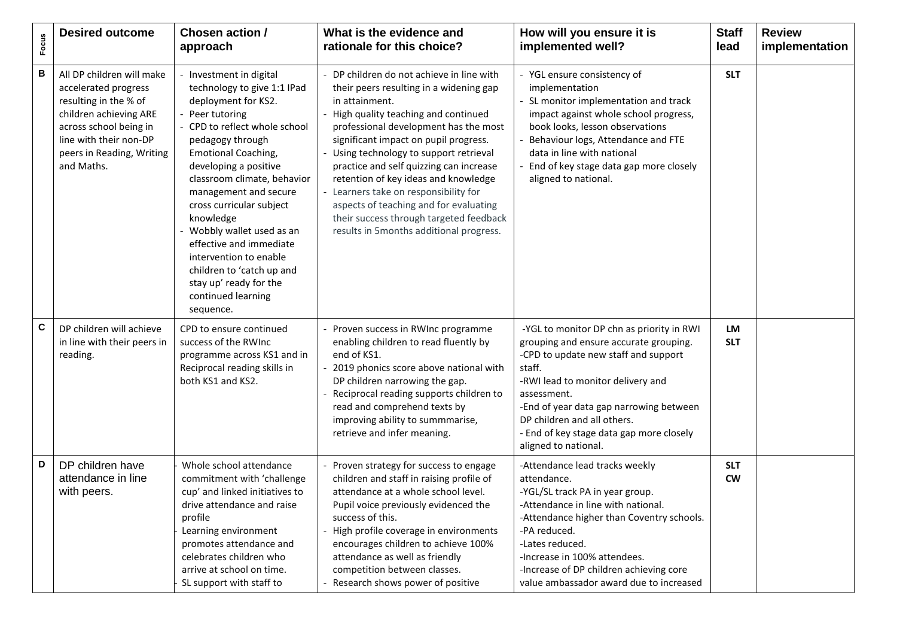| Focus | <b>Desired outcome</b>                                                                                                                                                                              | <b>Chosen action /</b><br>approach                                                                                                                                                                                                                                                                                                                                                                                                                                                   | What is the evidence and<br>rationale for this choice?                                                                                                                                                                                                                                                                                                                                                                                                                                                                                 | How will you ensure it is<br>implemented well?                                                                                                                                                                                                                                                                                          | <b>Staff</b><br>lead    | <b>Review</b><br>implementation |
|-------|-----------------------------------------------------------------------------------------------------------------------------------------------------------------------------------------------------|--------------------------------------------------------------------------------------------------------------------------------------------------------------------------------------------------------------------------------------------------------------------------------------------------------------------------------------------------------------------------------------------------------------------------------------------------------------------------------------|----------------------------------------------------------------------------------------------------------------------------------------------------------------------------------------------------------------------------------------------------------------------------------------------------------------------------------------------------------------------------------------------------------------------------------------------------------------------------------------------------------------------------------------|-----------------------------------------------------------------------------------------------------------------------------------------------------------------------------------------------------------------------------------------------------------------------------------------------------------------------------------------|-------------------------|---------------------------------|
| в     | All DP children will make<br>accelerated progress<br>resulting in the % of<br>children achieving ARE<br>across school being in<br>line with their non-DP<br>peers in Reading, Writing<br>and Maths. | Investment in digital<br>technology to give 1:1 IPad<br>deployment for KS2.<br>Peer tutoring<br>CPD to reflect whole school<br>pedagogy through<br><b>Emotional Coaching,</b><br>developing a positive<br>classroom climate, behavior<br>management and secure<br>cross curricular subject<br>knowledge<br>- Wobbly wallet used as an<br>effective and immediate<br>intervention to enable<br>children to 'catch up and<br>stay up' ready for the<br>continued learning<br>sequence. | - DP children do not achieve in line with<br>their peers resulting in a widening gap<br>in attainment.<br>- High quality teaching and continued<br>professional development has the most<br>significant impact on pupil progress.<br>Using technology to support retrieval<br>practice and self quizzing can increase<br>retention of key ideas and knowledge<br>- Learners take on responsibility for<br>aspects of teaching and for evaluating<br>their success through targeted feedback<br>results in 5months additional progress. | - YGL ensure consistency of<br>implementation<br>- SL monitor implementation and track<br>impact against whole school progress,<br>book looks, lesson observations<br>Behaviour logs, Attendance and FTE<br>data in line with national<br>End of key stage data gap more closely<br>aligned to national.                                | <b>SLT</b>              |                                 |
| C     | DP children will achieve<br>in line with their peers in<br>reading.                                                                                                                                 | CPD to ensure continued<br>success of the RWInc<br>programme across KS1 and in<br>Reciprocal reading skills in<br>both KS1 and KS2.                                                                                                                                                                                                                                                                                                                                                  | Proven success in RWInc programme<br>enabling children to read fluently by<br>end of KS1.<br>2019 phonics score above national with<br>DP children narrowing the gap.<br>Reciprocal reading supports children to<br>read and comprehend texts by<br>improving ability to summmarise,<br>retrieve and infer meaning.                                                                                                                                                                                                                    | -YGL to monitor DP chn as priority in RWI<br>grouping and ensure accurate grouping.<br>-CPD to update new staff and support<br>staff.<br>-RWI lead to monitor delivery and<br>assessment.<br>-End of year data gap narrowing between<br>DP children and all others.<br>- End of key stage data gap more closely<br>aligned to national. | LM<br><b>SLT</b>        |                                 |
| D     | DP children have<br>attendance in line<br>with peers.                                                                                                                                               | Whole school attendance<br>commitment with 'challenge<br>cup' and linked initiatives to<br>drive attendance and raise<br>profile<br>Learning environment<br>promotes attendance and<br>celebrates children who<br>arrive at school on time.<br>SL support with staff to                                                                                                                                                                                                              | Proven strategy for success to engage<br>children and staff in raising profile of<br>attendance at a whole school level.<br>Pupil voice previously evidenced the<br>success of this.<br>- High profile coverage in environments<br>encourages children to achieve 100%<br>attendance as well as friendly<br>competition between classes.<br>Research shows power of positive                                                                                                                                                           | -Attendance lead tracks weekly<br>attendance.<br>-YGL/SL track PA in year group.<br>-Attendance in line with national.<br>-Attendance higher than Coventry schools.<br>-PA reduced.<br>-Lates reduced.<br>-Increase in 100% attendees.<br>-Increase of DP children achieving core<br>value ambassador award due to increased            | <b>SLT</b><br><b>CW</b> |                                 |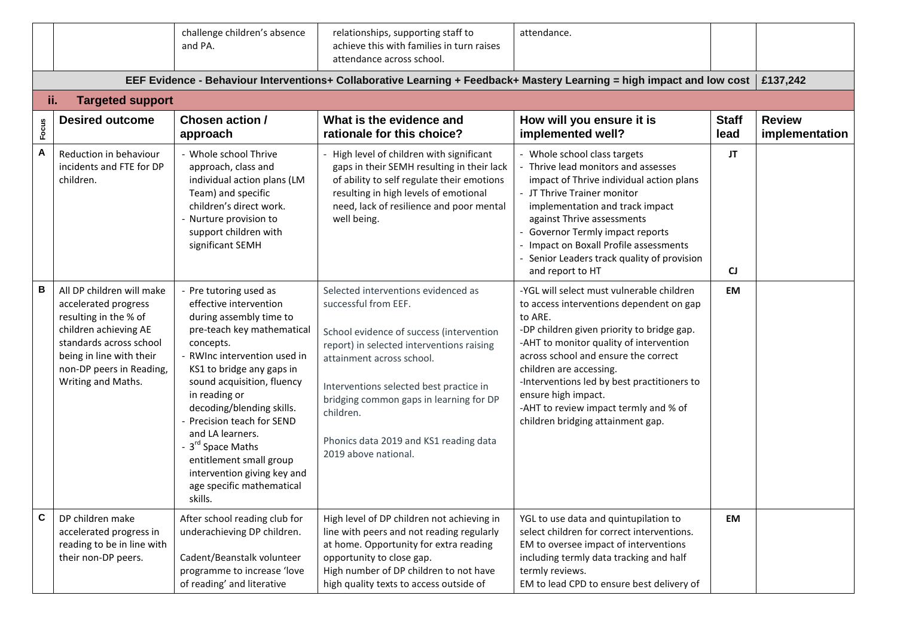|       |                                                                                                                                                                                                              | challenge children's absence<br>and PA.                                                                                                                                                                                                                                                                                                                                                                                                        | relationships, supporting staff to<br>achieve this with families in turn raises<br>attendance across school.                                                                                                                                                                                                                                           | attendance.                                                                                                                                                                                                                                                                                                                                                                                                      |                      |                                 |  |
|-------|--------------------------------------------------------------------------------------------------------------------------------------------------------------------------------------------------------------|------------------------------------------------------------------------------------------------------------------------------------------------------------------------------------------------------------------------------------------------------------------------------------------------------------------------------------------------------------------------------------------------------------------------------------------------|--------------------------------------------------------------------------------------------------------------------------------------------------------------------------------------------------------------------------------------------------------------------------------------------------------------------------------------------------------|------------------------------------------------------------------------------------------------------------------------------------------------------------------------------------------------------------------------------------------------------------------------------------------------------------------------------------------------------------------------------------------------------------------|----------------------|---------------------------------|--|
|       | EEF Evidence - Behaviour Interventions+ Collaborative Learning + Feedback+ Mastery Learning = high impact and low cost<br>ii.                                                                                |                                                                                                                                                                                                                                                                                                                                                                                                                                                |                                                                                                                                                                                                                                                                                                                                                        |                                                                                                                                                                                                                                                                                                                                                                                                                  |                      |                                 |  |
|       | <b>Targeted support</b>                                                                                                                                                                                      |                                                                                                                                                                                                                                                                                                                                                                                                                                                |                                                                                                                                                                                                                                                                                                                                                        |                                                                                                                                                                                                                                                                                                                                                                                                                  |                      |                                 |  |
| Focus | <b>Desired outcome</b>                                                                                                                                                                                       | Chosen action /<br>approach                                                                                                                                                                                                                                                                                                                                                                                                                    | What is the evidence and<br>rationale for this choice?                                                                                                                                                                                                                                                                                                 | How will you ensure it is<br>implemented well?                                                                                                                                                                                                                                                                                                                                                                   | <b>Staff</b><br>lead | <b>Review</b><br>implementation |  |
| A     | Reduction in behaviour<br>incidents and FTE for DP<br>children.                                                                                                                                              | - Whole school Thrive<br>approach, class and<br>individual action plans (LM<br>Team) and specific<br>children's direct work.<br>Nurture provision to<br>support children with<br>significant SEMH                                                                                                                                                                                                                                              | - High level of children with significant<br>gaps in their SEMH resulting in their lack<br>of ability to self regulate their emotions<br>resulting in high levels of emotional<br>need, lack of resilience and poor mental<br>well being.                                                                                                              | - Whole school class targets<br>Thrive lead monitors and assesses<br>impact of Thrive individual action plans<br>- JT Thrive Trainer monitor<br>implementation and track impact<br>against Thrive assessments<br>Governor Termly impact reports<br>Impact on Boxall Profile assessments<br>Senior Leaders track quality of provision<br>and report to HT                                                         | JT<br><b>CJ</b>      |                                 |  |
| В     | All DP children will make<br>accelerated progress<br>resulting in the % of<br>children achieving AE<br>standards across school<br>being in line with their<br>non-DP peers in Reading,<br>Writing and Maths. | Pre tutoring used as<br>effective intervention<br>during assembly time to<br>pre-teach key mathematical<br>concepts.<br>RWInc intervention used in<br>KS1 to bridge any gaps in<br>sound acquisition, fluency<br>in reading or<br>decoding/blending skills.<br>Precision teach for SEND<br>and LA learners.<br>- 3 <sup>rd</sup> Space Maths<br>entitlement small group<br>intervention giving key and<br>age specific mathematical<br>skills. | Selected interventions evidenced as<br>successful from EEF.<br>School evidence of success (intervention<br>report) in selected interventions raising<br>attainment across school.<br>Interventions selected best practice in<br>bridging common gaps in learning for DP<br>children.<br>Phonics data 2019 and KS1 reading data<br>2019 above national. | -YGL will select must vulnerable children<br>to access interventions dependent on gap<br>to ARE.<br>-DP children given priority to bridge gap.<br>-AHT to monitor quality of intervention<br>across school and ensure the correct<br>children are accessing.<br>-Interventions led by best practitioners to<br>ensure high impact.<br>-AHT to review impact termly and % of<br>children bridging attainment gap. | EM                   |                                 |  |
| C     | DP children make<br>accelerated progress in<br>reading to be in line with<br>their non-DP peers.                                                                                                             | After school reading club for<br>underachieving DP children.<br>Cadent/Beanstalk volunteer<br>programme to increase 'love<br>of reading' and literative                                                                                                                                                                                                                                                                                        | High level of DP children not achieving in<br>line with peers and not reading regularly<br>at home. Opportunity for extra reading<br>opportunity to close gap.<br>High number of DP children to not have<br>high quality texts to access outside of                                                                                                    | YGL to use data and quintupilation to<br>select children for correct interventions.<br>EM to oversee impact of interventions<br>including termly data tracking and half<br>termly reviews.<br>EM to lead CPD to ensure best delivery of                                                                                                                                                                          | EM                   |                                 |  |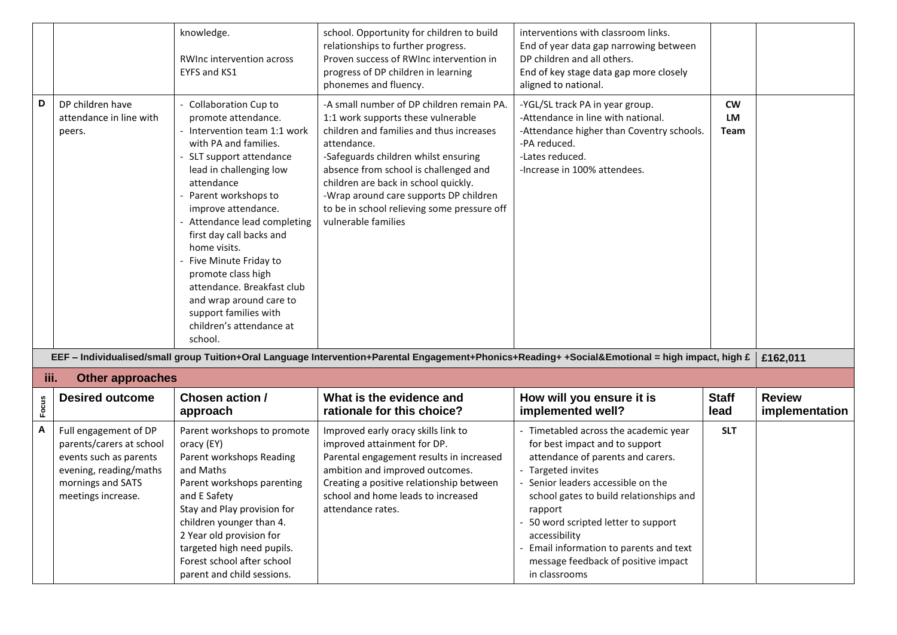|       |                                                                                                                                                  | knowledge.<br>RWInc intervention across<br>EYFS and KS1                                                                                                                                                                                                                                                                                                                                                                                                               | school. Opportunity for children to build<br>relationships to further progress.<br>Proven success of RWInc intervention in<br>progress of DP children in learning<br>phonemes and fluency.                                                                                                                                                                                          | interventions with classroom links.<br>End of year data gap narrowing between<br>DP children and all others.<br>End of key stage data gap more closely<br>aligned to national.                                                                                                                                                                                                         |                                       |                                 |
|-------|--------------------------------------------------------------------------------------------------------------------------------------------------|-----------------------------------------------------------------------------------------------------------------------------------------------------------------------------------------------------------------------------------------------------------------------------------------------------------------------------------------------------------------------------------------------------------------------------------------------------------------------|-------------------------------------------------------------------------------------------------------------------------------------------------------------------------------------------------------------------------------------------------------------------------------------------------------------------------------------------------------------------------------------|----------------------------------------------------------------------------------------------------------------------------------------------------------------------------------------------------------------------------------------------------------------------------------------------------------------------------------------------------------------------------------------|---------------------------------------|---------------------------------|
| D     | DP children have<br>attendance in line with<br>peers.                                                                                            | Collaboration Cup to<br>promote attendance.<br>Intervention team 1:1 work<br>with PA and families.<br>SLT support attendance<br>lead in challenging low<br>attendance<br>Parent workshops to<br>improve attendance.<br>Attendance lead completing<br>first day call backs and<br>home visits.<br>Five Minute Friday to<br>promote class high<br>attendance. Breakfast club<br>and wrap around care to<br>support families with<br>children's attendance at<br>school. | -A small number of DP children remain PA.<br>1:1 work supports these vulnerable<br>children and families and thus increases<br>attendance.<br>-Safeguards children whilst ensuring<br>absence from school is challenged and<br>children are back in school quickly.<br>-Wrap around care supports DP children<br>to be in school relieving some pressure off<br>vulnerable families | -YGL/SL track PA in year group.<br>-Attendance in line with national.<br>-Attendance higher than Coventry schools.<br>-PA reduced.<br>-Lates reduced.<br>-Increase in 100% attendees.                                                                                                                                                                                                  | <b>CW</b><br><b>LM</b><br><b>Team</b> |                                 |
|       |                                                                                                                                                  |                                                                                                                                                                                                                                                                                                                                                                                                                                                                       | EEF - Individualised/small group Tuition+Oral Language Intervention+Parental Engagement+Phonics+Reading+ +Social&Emotional = high impact, high £                                                                                                                                                                                                                                    |                                                                                                                                                                                                                                                                                                                                                                                        |                                       | £162,011                        |
| iii.  | <b>Other approaches</b>                                                                                                                          |                                                                                                                                                                                                                                                                                                                                                                                                                                                                       |                                                                                                                                                                                                                                                                                                                                                                                     |                                                                                                                                                                                                                                                                                                                                                                                        |                                       |                                 |
| Focus | <b>Desired outcome</b>                                                                                                                           | Chosen action /<br>approach                                                                                                                                                                                                                                                                                                                                                                                                                                           | What is the evidence and<br>rationale for this choice?                                                                                                                                                                                                                                                                                                                              | How will you ensure it is<br>implemented well?                                                                                                                                                                                                                                                                                                                                         | <b>Staff</b><br>lead                  | <b>Review</b><br>implementation |
| A     | Full engagement of DP<br>parents/carers at school<br>events such as parents<br>evening, reading/maths<br>mornings and SATS<br>meetings increase. | Parent workshops to promote<br>oracy (EY)<br>Parent workshops Reading<br>and Maths<br>Parent workshops parenting<br>and E Safety<br>Stay and Play provision for<br>children younger than 4.<br>2 Year old provision for<br>targeted high need pupils.<br>Forest school after school<br>parent and child sessions.                                                                                                                                                     | Improved early oracy skills link to<br>improved attainment for DP.<br>Parental engagement results in increased<br>ambition and improved outcomes.<br>Creating a positive relationship between<br>school and home leads to increased<br>attendance rates.                                                                                                                            | - Timetabled across the academic year<br>for best impact and to support<br>attendance of parents and carers.<br>- Targeted invites<br>Senior leaders accessible on the<br>school gates to build relationships and<br>rapport<br>- 50 word scripted letter to support<br>accessibility<br>Email information to parents and text<br>message feedback of positive impact<br>in classrooms | <b>SLT</b>                            |                                 |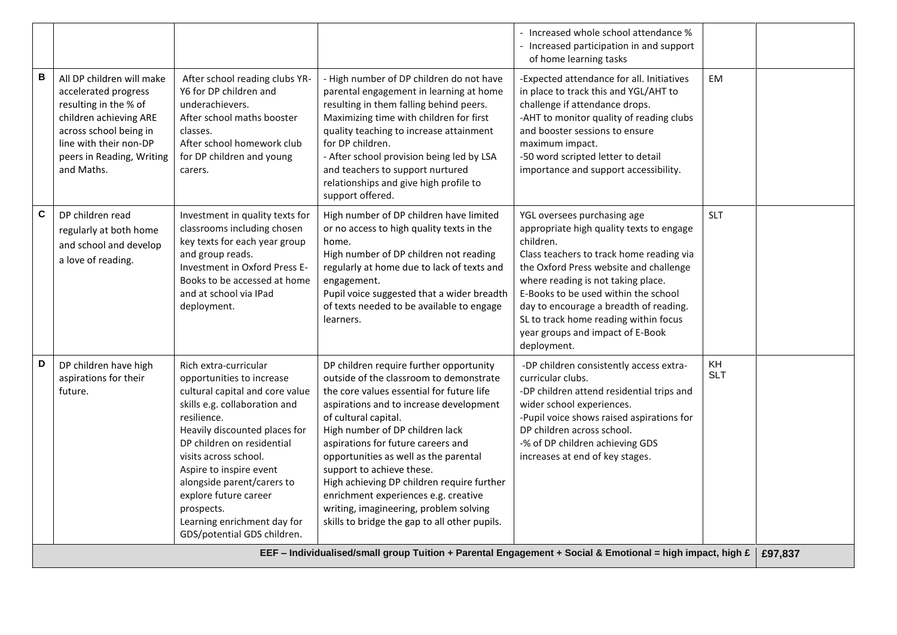|   |                                                                                                                                                                                                     |                                                                                                                                                                                                                                                                                                                                                                                             |                                                                                                                                                                                                                                                                                                                                                                                                                                                                                                                                    | - Increased whole school attendance %<br>- Increased participation in and support<br>of home learning tasks                                                                                                                                                                                                                                                                                    |                  |         |
|---|-----------------------------------------------------------------------------------------------------------------------------------------------------------------------------------------------------|---------------------------------------------------------------------------------------------------------------------------------------------------------------------------------------------------------------------------------------------------------------------------------------------------------------------------------------------------------------------------------------------|------------------------------------------------------------------------------------------------------------------------------------------------------------------------------------------------------------------------------------------------------------------------------------------------------------------------------------------------------------------------------------------------------------------------------------------------------------------------------------------------------------------------------------|------------------------------------------------------------------------------------------------------------------------------------------------------------------------------------------------------------------------------------------------------------------------------------------------------------------------------------------------------------------------------------------------|------------------|---------|
| В | All DP children will make<br>accelerated progress<br>resulting in the % of<br>children achieving ARE<br>across school being in<br>line with their non-DP<br>peers in Reading, Writing<br>and Maths. | After school reading clubs YR-<br>Y6 for DP children and<br>underachievers.<br>After school maths booster<br>classes.<br>After school homework club<br>for DP children and young<br>carers.                                                                                                                                                                                                 | - High number of DP children do not have<br>parental engagement in learning at home<br>resulting in them falling behind peers.<br>Maximizing time with children for first<br>quality teaching to increase attainment<br>for DP children.<br>- After school provision being led by LSA<br>and teachers to support nurtured<br>relationships and give high profile to<br>support offered.                                                                                                                                            | -Expected attendance for all. Initiatives<br>in place to track this and YGL/AHT to<br>challenge if attendance drops.<br>-AHT to monitor quality of reading clubs<br>and booster sessions to ensure<br>maximum impact.<br>-50 word scripted letter to detail<br>importance and support accessibility.                                                                                           | <b>EM</b>        |         |
| C | DP children read<br>regularly at both home<br>and school and develop<br>a love of reading.                                                                                                          | Investment in quality texts for<br>classrooms including chosen<br>key texts for each year group<br>and group reads.<br>Investment in Oxford Press E-<br>Books to be accessed at home<br>and at school via IPad<br>deployment.                                                                                                                                                               | High number of DP children have limited<br>or no access to high quality texts in the<br>home.<br>High number of DP children not reading<br>regularly at home due to lack of texts and<br>engagement.<br>Pupil voice suggested that a wider breadth<br>of texts needed to be available to engage<br>learners.                                                                                                                                                                                                                       | YGL oversees purchasing age<br>appropriate high quality texts to engage<br>children.<br>Class teachers to track home reading via<br>the Oxford Press website and challenge<br>where reading is not taking place.<br>E-Books to be used within the school<br>day to encourage a breadth of reading.<br>SL to track home reading within focus<br>year groups and impact of E-Book<br>deployment. | <b>SLT</b>       |         |
| D | DP children have high<br>aspirations for their<br>future.                                                                                                                                           | Rich extra-curricular<br>opportunities to increase<br>cultural capital and core value<br>skills e.g. collaboration and<br>resilience.<br>Heavily discounted places for<br>DP children on residential<br>visits across school.<br>Aspire to inspire event<br>alongside parent/carers to<br>explore future career<br>prospects.<br>Learning enrichment day for<br>GDS/potential GDS children. | DP children require further opportunity<br>outside of the classroom to demonstrate<br>the core values essential for future life<br>aspirations and to increase development<br>of cultural capital.<br>High number of DP children lack<br>aspirations for future careers and<br>opportunities as well as the parental<br>support to achieve these.<br>High achieving DP children require further<br>enrichment experiences e.g. creative<br>writing, imagineering, problem solving<br>skills to bridge the gap to all other pupils. | -DP children consistently access extra-<br>curricular clubs.<br>-DP children attend residential trips and<br>wider school experiences.<br>-Pupil voice shows raised aspirations for<br>DP children across school.<br>-% of DP children achieving GDS<br>increases at end of key stages.                                                                                                        | KH<br><b>SLT</b> |         |
|   |                                                                                                                                                                                                     |                                                                                                                                                                                                                                                                                                                                                                                             | EEF - Individualised/small group Tuition + Parental Engagement + Social & Emotional = high impact, high £                                                                                                                                                                                                                                                                                                                                                                                                                          |                                                                                                                                                                                                                                                                                                                                                                                                |                  | £97,837 |